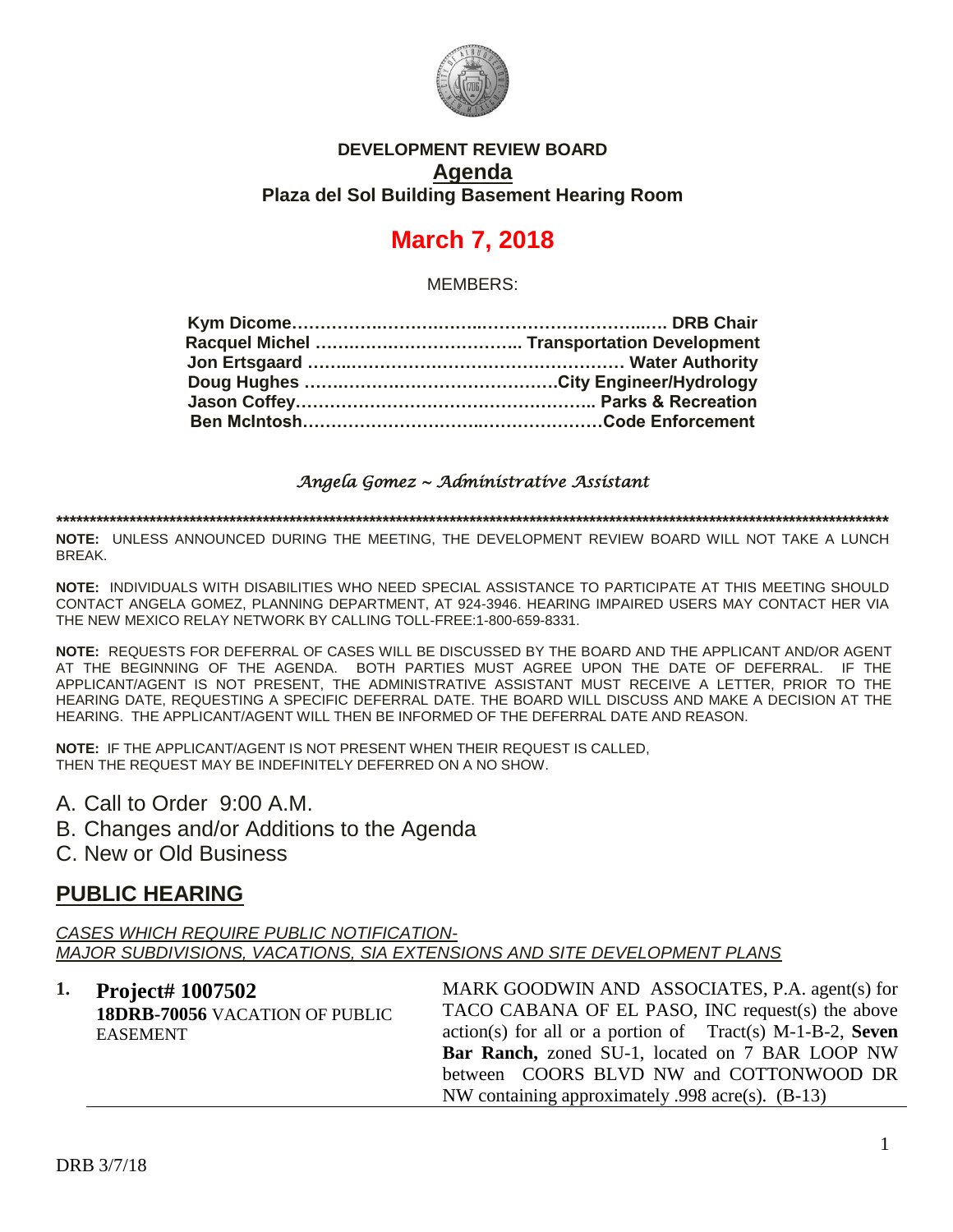

### **DEVELOPMENT REVIEW BOARD Agenda Plaza del Sol Building Basement Hearing Room**

# **March 7, 2018**

MEMBERS:

### *Angela Gomez ~ Administrative Assistant*

**\*\*\*\*\*\*\*\*\*\*\*\*\*\*\*\*\*\*\*\*\*\*\*\*\*\*\*\*\*\*\*\*\*\*\*\*\*\*\*\*\*\*\*\*\*\*\*\*\*\*\*\*\*\*\*\*\*\*\*\*\*\*\*\*\*\*\*\*\*\*\*\*\*\*\*\*\*\*\*\*\*\*\*\*\*\*\*\*\*\*\*\*\*\*\*\*\*\*\*\*\*\*\*\*\*\*\*\*\*\*\*\*\*\*\*\*\*\*\*\*\*\*\*\*\***

**NOTE:** UNLESS ANNOUNCED DURING THE MEETING, THE DEVELOPMENT REVIEW BOARD WILL NOT TAKE A LUNCH BREAK.

**NOTE:** INDIVIDUALS WITH DISABILITIES WHO NEED SPECIAL ASSISTANCE TO PARTICIPATE AT THIS MEETING SHOULD CONTACT ANGELA GOMEZ, PLANNING DEPARTMENT, AT 924-3946. HEARING IMPAIRED USERS MAY CONTACT HER VIA THE NEW MEXICO RELAY NETWORK BY CALLING TOLL-FREE:1-800-659-8331.

**NOTE:** REQUESTS FOR DEFERRAL OF CASES WILL BE DISCUSSED BY THE BOARD AND THE APPLICANT AND/OR AGENT AT THE BEGINNING OF THE AGENDA. BOTH PARTIES MUST AGREE UPON THE DATE OF DEFERRAL. IF THE APPLICANT/AGENT IS NOT PRESENT, THE ADMINISTRATIVE ASSISTANT MUST RECEIVE A LETTER, PRIOR TO THE HEARING DATE, REQUESTING A SPECIFIC DEFERRAL DATE. THE BOARD WILL DISCUSS AND MAKE A DECISION AT THE HEARING. THE APPLICANT/AGENT WILL THEN BE INFORMED OF THE DEFERRAL DATE AND REASON.

**NOTE:** IF THE APPLICANT/AGENT IS NOT PRESENT WHEN THEIR REQUEST IS CALLED, THEN THE REQUEST MAY BE INDEFINITELY DEFERRED ON A NO SHOW.

- A. Call to Order 9:00 A.M.
- B. Changes and/or Additions to the Agenda
- C. New or Old Business

# **PUBLIC HEARING**

*CASES WHICH REQUIRE PUBLIC NOTIFICATION-MAJOR SUBDIVISIONS, VACATIONS, SIA EXTENSIONS AND SITE DEVELOPMENT PLANS*

**1. Project# 1007502 18DRB-70056** VACATION OF PUBLIC EASEMENT

MARK GOODWIN AND ASSOCIATES, P.A. agent(s) for TACO CABANA OF EL PASO, INC request(s) the above action(s) for all or a portion of Tract(s) M-1-B-2, **Seven Bar Ranch,** zoned SU-1, located on 7 BAR LOOP NW between COORS BLVD NW and COTTONWOOD DR NW containing approximately .998 acre(s). (B-13)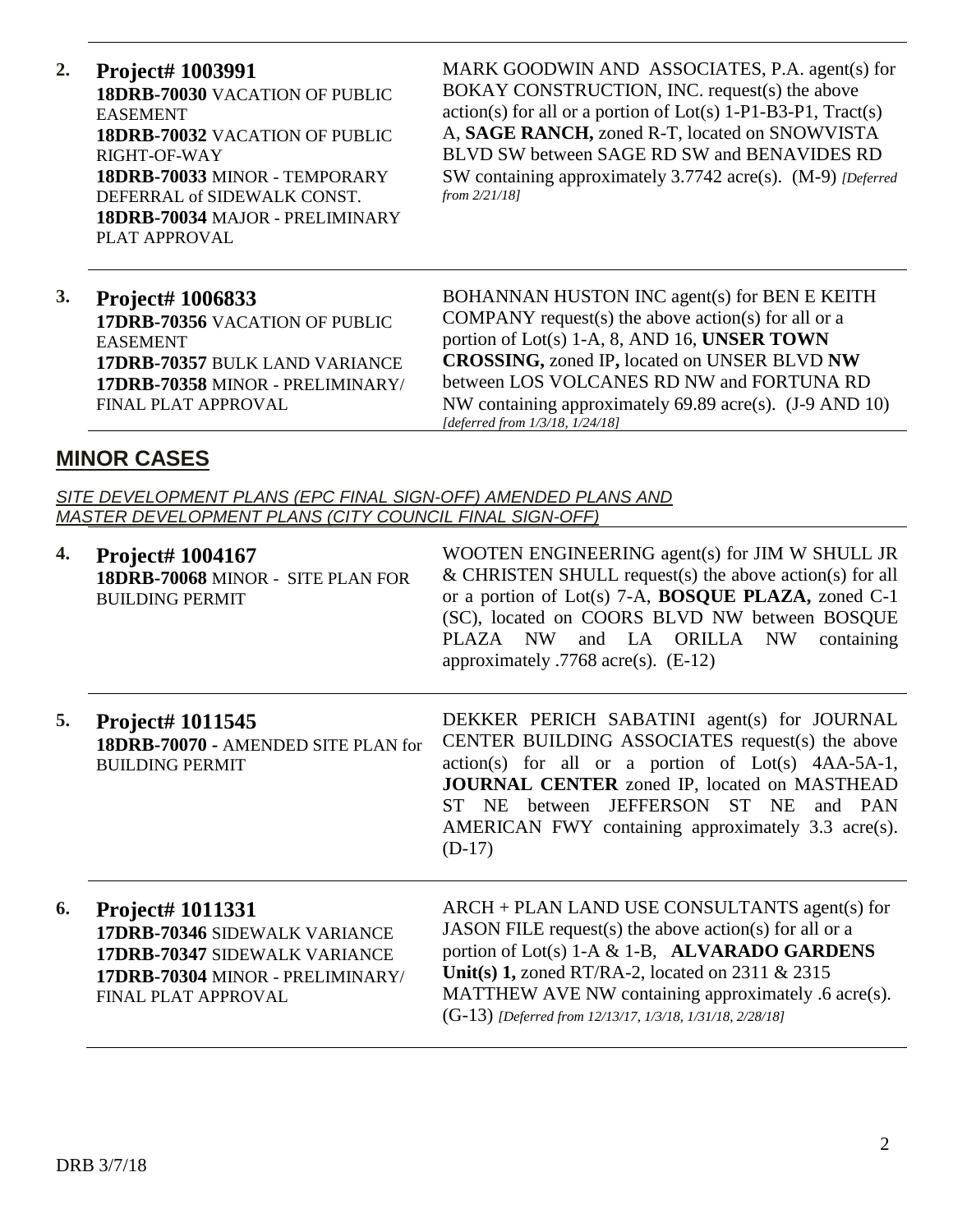**2. Project# 1003991 18DRB-70030** VACATION OF PUBLIC EASEMENT **18DRB-70032** VACATION OF PUBLIC RIGHT-OF-WAY **18DRB-70033** MINOR - TEMPORARY DEFERRAL of SIDEWALK CONST. **18DRB-70034** MAJOR - PRELIMINARY PLAT APPROVAL

MARK GOODWIN AND ASSOCIATES, P.A. agent(s) for BOKAY CONSTRUCTION, INC. request(s) the above  $action(s)$  for all or a portion of  $Lot(s)$  1-P1-B3-P1, Tract(s) A, **SAGE RANCH,** zoned R-T, located on SNOWVISTA BLVD SW between SAGE RD SW and BENAVIDES RD SW containing approximately 3.7742 acre(s). (M-9) *[Deferred from 2/21/18]*

### **3. Project# 1006833 17DRB-70356** VACATION OF PUBLIC EASEMENT **17DRB-70357** BULK LAND VARIANCE **17DRB-70358** MINOR - PRELIMINARY/ FINAL PLAT APPROVAL

BOHANNAN HUSTON INC agent(s) for BEN E KEITH COMPANY request(s) the above action(s) for all or a portion of Lot(s) 1-A, 8, AND 16, **UNSER TOWN CROSSING,** zoned IP**,** located on UNSER BLVD **NW**  between LOS VOLCANES RD NW and FORTUNA RD NW containing approximately 69.89 acre(s). (J-9 AND 10) *[deferred from 1/3/18, 1/24/18]*

# **MINOR CASES**

*SITE DEVELOPMENT PLANS (EPC FINAL SIGN-OFF) AMENDED PLANS AND MASTER DEVELOPMENT PLANS (CITY COUNCIL FINAL SIGN-OFF)*

| 4. | Project# 1004167<br>18DRB-70068 MINOR - SITE PLAN FOR<br><b>BUILDING PERMIT</b>                                                                      | WOOTEN ENGINEERING agent(s) for JIM W SHULL JR<br>$&$ CHRISTEN SHULL request(s) the above action(s) for all<br>or a portion of Lot(s) 7-A, <b>BOSQUE PLAZA</b> , zoned C-1<br>(SC), located on COORS BLVD NW between BOSQUE<br>and LA ORILLA<br>PLAZA NW<br>NW<br>containing<br>approximately .7768 acre(s). $(E-12)$            |
|----|------------------------------------------------------------------------------------------------------------------------------------------------------|----------------------------------------------------------------------------------------------------------------------------------------------------------------------------------------------------------------------------------------------------------------------------------------------------------------------------------|
| 5. | Project# 1011545<br>18DRB-70070 - AMENDED SITE PLAN for<br><b>BUILDING PERMIT</b>                                                                    | DEKKER PERICH SABATINI agent(s) for JOURNAL<br>CENTER BUILDING ASSOCIATES request(s) the above<br>$action(s)$ for all or a portion of $Lot(s)$ 4AA-5A-1,<br>JOURNAL CENTER zoned IP, located on MASTHEAD<br>ST NE between JEFFERSON ST NE<br>and PAN<br>AMERICAN FWY containing approximately 3.3 acre(s).<br>$(D-17)$           |
| 6. | <b>Project# 1011331</b><br>17DRB-70346 SIDEWALK VARIANCE<br>17DRB-70347 SIDEWALK VARIANCE<br>17DRB-70304 MINOR - PRELIMINARY/<br>FINAL PLAT APPROVAL | ARCH + PLAN LAND USE CONSULTANTS agent(s) for<br>JASON FILE request(s) the above action(s) for all or a<br>portion of Lot(s) 1-A & 1-B, ALVARADO GARDENS<br>Unit(s) 1, zoned RT/RA-2, located on 2311 & 2315<br>MATTHEW AVE NW containing approximately .6 acre(s).<br>(G-13) [Deferred from 12/13/17, 1/3/18, 1/31/18, 2/28/18] |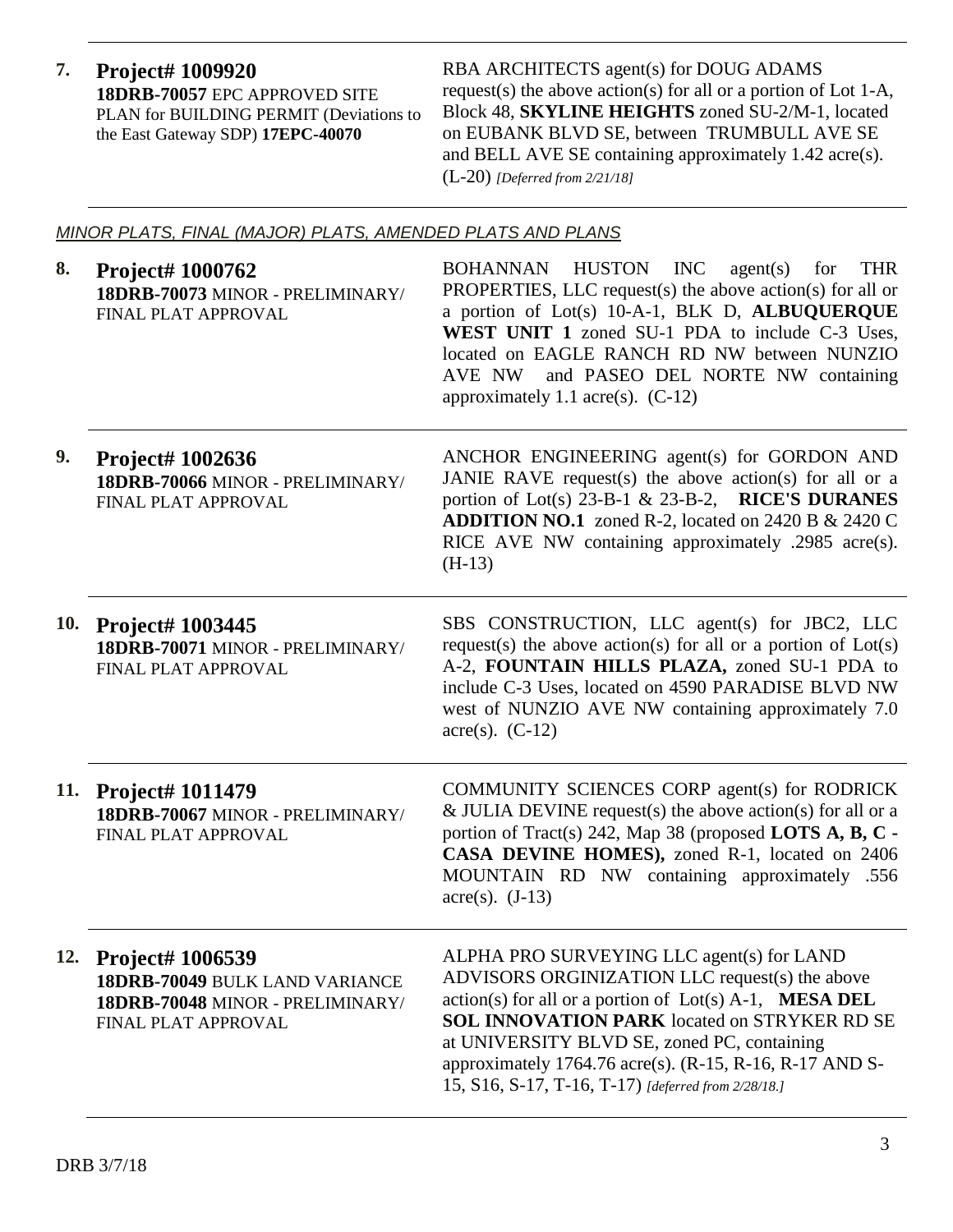**7. Project# 1009920 18DRB-70057** EPC APPROVED SITE PLAN for BUILDING PERMIT (Deviations to the East Gateway SDP) **17EPC-40070**

RBA ARCHITECTS agent(s) for DOUG ADAMS request(s) the above action(s) for all or a portion of Lot 1-A, Block 48, **SKYLINE HEIGHTS** zoned SU-2/M-1, located on EUBANK BLVD SE, between TRUMBULL AVE SE and BELL AVE SE containing approximately 1.42 acre(s). (L-20) *[Deferred from 2/21/18]*

### *MINOR PLATS, FINAL (MAJOR) PLATS, AMENDED PLATS AND PLANS*

| 8.  | Project# 1000762<br>18DRB-70073 MINOR - PRELIMINARY/<br>FINAL PLAT APPROVAL                                   | BOHANNAN HUSTON INC agent(s) for<br><b>THR</b><br>PROPERTIES, LLC request(s) the above action(s) for all or<br>a portion of Lot(s) 10-A-1, BLK D, ALBUQUERQUE<br>WEST UNIT 1 zoned SU-1 PDA to include C-3 Uses,<br>located on EAGLE RANCH RD NW between NUNZIO<br>and PASEO DEL NORTE NW containing<br>AVE NW<br>approximately 1.1 acre(s). $(C-12)$                                      |
|-----|---------------------------------------------------------------------------------------------------------------|--------------------------------------------------------------------------------------------------------------------------------------------------------------------------------------------------------------------------------------------------------------------------------------------------------------------------------------------------------------------------------------------|
| 9.  | <b>Project# 1002636</b><br>18DRB-70066 MINOR - PRELIMINARY/<br>FINAL PLAT APPROVAL                            | ANCHOR ENGINEERING agent(s) for GORDON AND<br>JANIE RAVE request(s) the above action(s) for all or a<br>portion of Lot(s) 23-B-1 & 23-B-2, RICE'S DURANES<br><b>ADDITION NO.1</b> zoned R-2, located on 2420 B $\&$ 2420 C<br>RICE AVE NW containing approximately .2985 acre(s).<br>$(H-13)$                                                                                              |
|     | 10. Project# 1003445<br>18DRB-70071 MINOR - PRELIMINARY/<br>FINAL PLAT APPROVAL                               | SBS CONSTRUCTION, LLC agent(s) for JBC2, LLC<br>request(s) the above action(s) for all or a portion of $Lot(s)$<br>A-2, FOUNTAIN HILLS PLAZA, zoned SU-1 PDA to<br>include C-3 Uses, located on 4590 PARADISE BLVD NW<br>west of NUNZIO AVE NW containing approximately 7.0<br>$\text{acre}(s)$ . (C-12)                                                                                   |
|     | 11. Project# 1011479<br>18DRB-70067 MINOR - PRELIMINARY/<br>FINAL PLAT APPROVAL                               | COMMUNITY SCIENCES CORP agent(s) for RODRICK<br>$&$ JULIA DEVINE request(s) the above action(s) for all or a<br>portion of Tract(s) 242, Map 38 (proposed LOTS A, B, C -<br>CASA DEVINE HOMES), zoned R-1, located on 2406<br>MOUNTAIN RD NW containing approximately .556<br>$\text{acre}(s)$ . (J-13)                                                                                    |
| 12. | Project# 1006539<br>18DRB-70049 BULK LAND VARIANCE<br>18DRB-70048 MINOR - PRELIMINARY/<br>FINAL PLAT APPROVAL | ALPHA PRO SURVEYING LLC agent(s) for LAND<br>ADVISORS ORGINIZATION LLC request(s) the above<br>$action(s)$ for all or a portion of $Lot(s)$ A-1, <b>MESA DEL</b><br><b>SOL INNOVATION PARK</b> located on STRYKER RD SE<br>at UNIVERSITY BLVD SE, zoned PC, containing<br>approximately 1764.76 acre(s). $(R-15, R-16, R-17$ AND S-<br>15, S16, S-17, T-16, T-17) [deferred from 2/28/18.] |